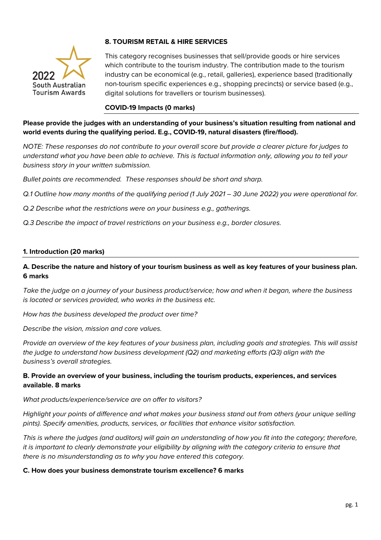

# **8. TOURISM RETAIL & HIRE SERVICES**

This category recognises businesses that sell/provide goods or hire services which contribute to the tourism industry. The contribution made to the tourism industry can be economical (e.g., retail, galleries), experience based (traditionally non-tourism specific experiences e.g., shopping precincts) or service based (e.g., digital solutions for travellers or tourism businesses).

## **COVID-19 Impacts (0 marks)**

**Please provide the judges with an understanding of your business's situation resulting from national and world events during the qualifying period. E.g., COVID-19, natural disasters (fire/flood).**

*NOTE: These responses do not contribute to your overall score but provide a clearer picture for judges to understand what you have been able to achieve. This is factual information only, allowing you to tell your business story in your written submission.* 

*Bullet points are recommended. These responses should be short and sharp.*

*Q.1 Outline how many months of the qualifying period (1 July 2021 – 30 June 2022) you were operational for.*

*Q.2 Describe what the restrictions were on your business e.g., gatherings.*

*Q.3 Describe the impact of travel restrictions on your business e.g., border closures.*

### **1. Introduction (20 marks)**

## **A. Describe the nature and history of your tourism business as well as key features of your business plan. 6 marks**

*Take the judge on a journey of your business product/service; how and when it began, where the business is located or services provided, who works in the business etc.* 

*How has the business developed the product over time?*

*Describe the vision, mission and core values.* 

*Provide an overview of the key features of your business plan, including goals and strategies. This will assist the judge to understand how business development (Q2) and marketing efforts (Q3) align with the business's overall strategies.* 

## **B. Provide an overview of your business, including the tourism products, experiences, and services available. 8 marks**

#### *What products/experience/service are on offer to visitors?*

*Highlight your points of difference and what makes your business stand out from others (your unique selling pints). Specify amenities, products, services, or facilities that enhance visitor satisfaction.*

*This is where the judges (and auditors) will gain an understanding of how you fit into the category; therefore, it is important to clearly demonstrate your eligibility by aligning with the category criteria to ensure that there is no misunderstanding as to why you have entered this category.*

#### **C. How does your business demonstrate tourism excellence? 6 marks**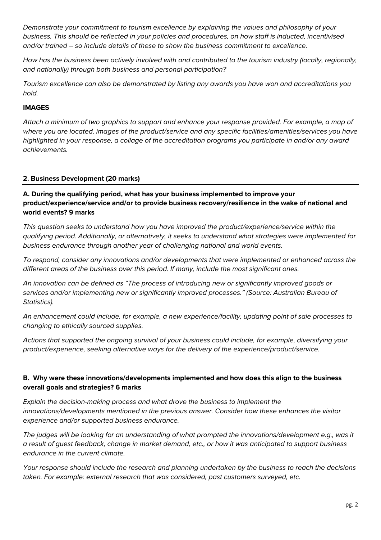*Demonstrate your commitment to tourism excellence by explaining the values and philosophy of your business. This should be reflected in your policies and procedures, on how staff is inducted, incentivised and/or trained – so include details of these to show the business commitment to excellence.*

*How has the business been actively involved with and contributed to the tourism industry (locally, regionally, and nationally) through both business and personal participation?* 

*Tourism excellence can also be demonstrated by listing any awards you have won and accreditations you hold.* 

## **IMAGES**

*Attach a minimum of two graphics to support and enhance your response provided. For example, a map of where you are located, images of the product/service and any specific facilities/amenities/services you have highlighted in your response, a collage of the accreditation programs you participate in and/or any award achievements.* 

## **2. Business Development (20 marks)**

## **A. During the qualifying period, what has your business implemented to improve your product/experience/service and/or to provide business recovery/resilience in the wake of national and world events? 9 marks**

*This question seeks to understand how you have improved the product/experience/service within the qualifying period. Additionally, or alternatively, it seeks to understand what strategies were implemented for business endurance through another year of challenging national and world events.* 

*To respond, consider any innovations and/or developments that were implemented or enhanced across the different areas of the business over this period. If many, include the most significant ones.* 

*An innovation can be defined as "The process of introducing new or significantly improved goods or services and/or implementing new or significantly improved processes." (Source: Australian Bureau of Statistics).*

*An enhancement could include, for example, a new experience/facility, updating point of sale processes to changing to ethically sourced supplies.* 

*Actions that supported the ongoing survival of your business could include, for example, diversifying your product/experience, seeking alternative ways for the delivery of the experience/product/service.* 

# **B. Why were these innovations/developments implemented and how does this align to the business overall goals and strategies? 6 marks**

*Explain the decision-making process and what drove the business to implement the innovations/developments mentioned in the previous answer. Consider how these enhances the visitor experience and/or supported business endurance.* 

*The judges will be looking for an understanding of what prompted the innovations/development e.g., was it a result of guest feedback, change in market demand, etc., or how it was anticipated to support business endurance in the current climate.* 

*Your response should include the research and planning undertaken by the business to reach the decisions taken. For example: external research that was considered, past customers surveyed, etc.*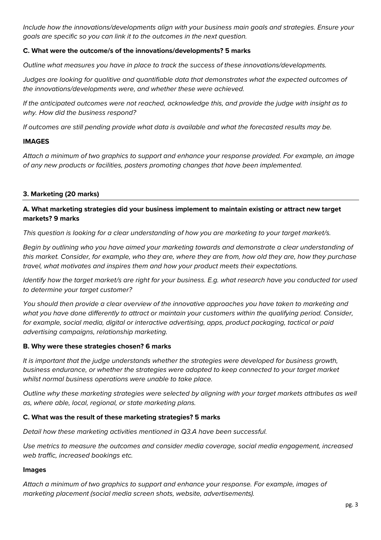*Include how the innovations/developments align with your business main goals and strategies. Ensure your goals are specific so you can link it to the outcomes in the next question.*

## **C. What were the outcome/s of the innovations/developments? 5 marks**

*Outline what measures you have in place to track the success of these innovations/developments.*

*Judges are looking for qualitive and quantifiable data that demonstrates what the expected outcomes of the innovations/developments were, and whether these were achieved.*

*If the anticipated outcomes were not reached, acknowledge this, and provide the judge with insight as to why. How did the business respond?*

*If outcomes are still pending provide what data is available and what the forecasted results may be.*

### **IMAGES**

*Attach a minimum of two graphics to support and enhance your response provided. For example, an image of any new products or facilities, posters promoting changes that have been implemented.* 

## **3. Marketing (20 marks)**

## **A. What marketing strategies did your business implement to maintain existing or attract new target markets? 9 marks**

*This question is looking for a clear understanding of how you are marketing to your target market/s.*

*Begin by outlining who you have aimed your marketing towards and demonstrate a clear understanding of this market. Consider, for example, who they are, where they are from, how old they are, how they purchase travel, what motivates and inspires them and how your product meets their expectations.* 

*Identify how the target market/s are right for your business. E.g. what research have you conducted tor used to determine your target customer?*

*You should then provide a clear overview of the innovative approaches you have taken to marketing and what you have done differently to attract or maintain your customers within the qualifying period. Consider, for example, social media, digital or interactive advertising, apps, product packaging, tactical or paid advertising campaigns, relationship marketing.*

## **B. Why were these strategies chosen? 6 marks**

*It is important that the judge understands whether the strategies were developed for business growth, business endurance, or whether the strategies were adopted to keep connected to your target market whilst normal business operations were unable to take place.* 

*Outline why these marketing strategies were selected by aligning with your target markets attributes as well as, where able, local, regional, or state marketing plans.* 

## **C. What was the result of these marketing strategies? 5 marks**

*Detail how these marketing activities mentioned in Q3.A have been successful.* 

*Use metrics to measure the outcomes and consider media coverage, social media engagement, increased web traffic, increased bookings etc.* 

#### **Images**

*Attach a minimum of two graphics to support and enhance your response. For example, images of marketing placement (social media screen shots, website, advertisements).*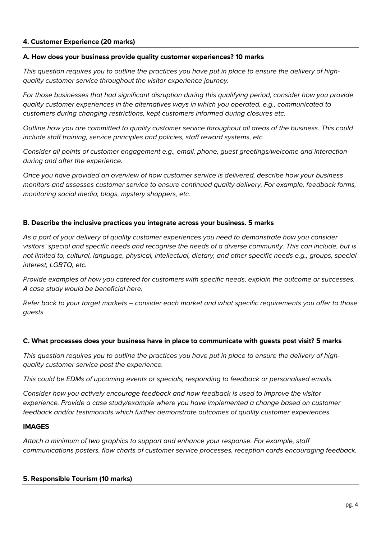### **4. Customer Experience (20 marks)**

#### **A. How does your business provide quality customer experiences? 10 marks**

*This question requires you to outline the practices you have put in place to ensure the delivery of highquality customer service throughout the visitor experience journey.* 

*For those businesses that had significant disruption during this qualifying period, consider how you provide quality customer experiences in the alternatives ways in which you operated, e.g., communicated to customers during changing restrictions, kept customers informed during closures etc.* 

*Outline how you are committed to quality customer service throughout all areas of the business. This could include staff training, service principles and policies, staff reward systems, etc.* 

*Consider all points of customer engagement e.g., email, phone, guest greetings/welcome and interaction during and after the experience.*

*Once you have provided an overview of how customer service is delivered, describe how your business monitors and assesses customer service to ensure continued quality delivery. For example, feedback forms, monitoring social media, blogs, mystery shoppers, etc.* 

### **B. Describe the inclusive practices you integrate across your business. 5 marks**

*As a part of your delivery of quality customer experiences you need to demonstrate how you consider visitors' special and specific needs and recognise the needs of a diverse community. This can include, but is not limited to, cultural, language, physical, intellectual, dietary, and other specific needs e.g., groups, special interest, LGBTQ, etc.*

*Provide examples of how you catered for customers with specific needs, explain the outcome or successes. A case study would be beneficial here.* 

*Refer back to your target markets – consider each market and what specific requirements you offer to those guests.*

#### **C. What processes does your business have in place to communicate with guests post visit? 5 marks**

*This question requires you to outline the practices you have put in place to ensure the delivery of highquality customer service post the experience.* 

*This could be EDMs of upcoming events or specials, responding to feedback or personalised emails.* 

*Consider how you actively encourage feedback and how feedback is used to improve the visitor experience. Provide a case study/example where you have implemented a change based on customer feedback and/or testimonials which further demonstrate outcomes of quality customer experiences.* 

#### **IMAGES**

*Attach a minimum of two graphics to support and enhance your response. For example, staff communications posters, flow charts of customer service processes, reception cards encouraging feedback.* 

#### **5. Responsible Tourism (10 marks)**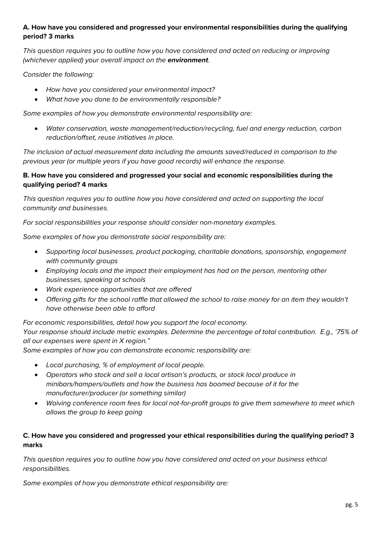# **A. How have you considered and progressed your environmental responsibilities during the qualifying period? 3 marks**

*This question requires you to outline how you have considered and acted on reducing or improving (whichever applied) your overall impact on the environment.* 

*Consider the following:*

- *How have you considered your environmental impact?*
- *What have you done to be environmentally responsible?*

*Some examples of how you demonstrate environmental responsibility are:*

• *Water conservation, waste management/reduction/recycling, fuel and energy reduction, carbon reduction/offset, reuse initiatives in place.*

*The inclusion of actual measurement data including the amounts saved/reduced in comparison to the previous year (or multiple years if you have good records) will enhance the response.*

# **B. How have you considered and progressed your social and economic responsibilities during the qualifying period? 4 marks**

*This question requires you to outline how you have considered and acted on supporting the local community and businesses.* 

*For social responsibilities your response should consider non-monetary examples.*

*Some examples of how you demonstrate social responsibility are:*

- *Supporting local businesses, product packaging, charitable donations, sponsorship, engagement with community groups*
- *Employing locals and the impact their employment has had on the person, mentoring other businesses, speaking at schools*
- *Work experience opportunities that are offered*
- *Offering gifts for the school raffle that allowed the school to raise money for an item they wouldn't have otherwise been able to afford*

*For economic responsibilities, detail how you support the local economy.* 

*Your response should include metric examples. Determine the percentage of total contribution. E.g., '75% of all our expenses were spent in X region."* 

*Some examples of how you can demonstrate economic responsibility are:*

- *Local purchasing, % of employment of local people.*
- *Operators who stock and sell a local artisan's products, or stock local produce in minibars/hampers/outlets and how the business has boomed because of it for the manufacturer/producer (or something similar)*
- *Waiving conference room fees for local not-for-profit groups to give them somewhere to meet which allows the group to keep going*

# **C. How have you considered and progressed your ethical responsibilities during the qualifying period? 3 marks**

*This question requires you to outline how you have considered and acted on your business ethical responsibilities.*

*Some examples of how you demonstrate ethical responsibility are:*